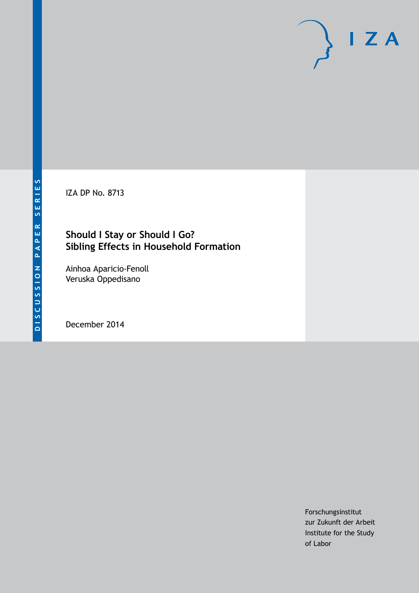IZA DP No. 8713

### **Should I Stay or Should I Go? Sibling Effects in Household Formation**

Ainhoa Aparicio-Fenoll Veruska Oppedisano

December 2014

Forschungsinstitut zur Zukunft der Arbeit Institute for the Study of Labor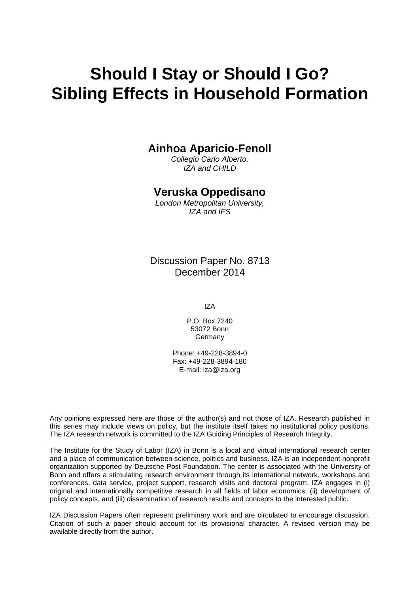# **Should I Stay or Should I Go? Sibling Effects in Household Formation**

#### **Ainhoa Aparicio-Fenoll**

*Collegio Carlo Alberto, IZA and CHILD*

### **Veruska Oppedisano**

*London Metropolitan University, IZA and IFS*

Discussion Paper No. 8713 December 2014

IZA

P.O. Box 7240 53072 Bonn **Germany** 

Phone: +49-228-3894-0 Fax: +49-228-3894-180 E-mail: [iza@iza.org](mailto:iza@iza.org)

Any opinions expressed here are those of the author(s) and not those of IZA. Research published in this series may include views on policy, but the institute itself takes no institutional policy positions. The IZA research network is committed to the IZA Guiding Principles of Research Integrity.

The Institute for the Study of Labor (IZA) in Bonn is a local and virtual international research center and a place of communication between science, politics and business. IZA is an independent nonprofit organization supported by Deutsche Post Foundation. The center is associated with the University of Bonn and offers a stimulating research environment through its international network, workshops and conferences, data service, project support, research visits and doctoral program. IZA engages in (i) original and internationally competitive research in all fields of labor economics, (ii) development of policy concepts, and (iii) dissemination of research results and concepts to the interested public.

<span id="page-1-0"></span>IZA Discussion Papers often represent preliminary work and are circulated to encourage discussion. Citation of such a paper should account for its provisional character. A revised version may be available directly from the author.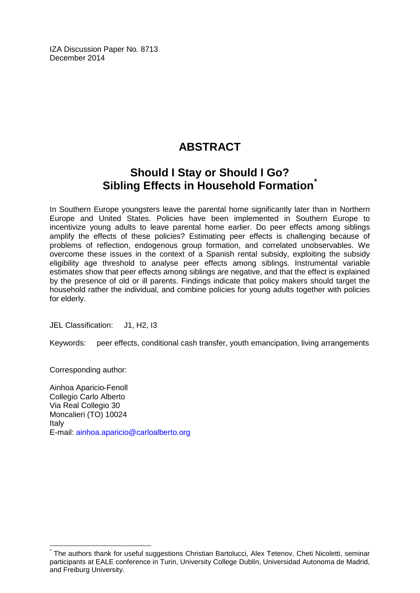IZA Discussion Paper No. 8713 December 2014

## **ABSTRACT**

### **Should I Stay or Should I Go? Sibling Effects in Household Formation[\\*](#page-1-0)**

In Southern Europe youngsters leave the parental home significantly later than in Northern Europe and United States. Policies have been implemented in Southern Europe to incentivize young adults to leave parental home earlier. Do peer effects among siblings amplify the effects of these policies? Estimating peer effects is challenging because of problems of reflection, endogenous group formation, and correlated unobservables. We overcome these issues in the context of a Spanish rental subsidy, exploiting the subsidy eligibility age threshold to analyse peer effects among siblings. Instrumental variable estimates show that peer effects among siblings are negative, and that the effect is explained by the presence of old or ill parents. Findings indicate that policy makers should target the household rather the individual, and combine policies for young adults together with policies for elderly.

JEL Classification: J1, H2, I3

Keywords: peer effects, conditional cash transfer, youth emancipation, living arrangements

Corresponding author:

Ainhoa Aparicio-Fenoll Collegio Carlo Alberto Via Real Collegio 30 Moncalieri (TO) 10024 Italy E-mail: [ainhoa.aparicio@carloalberto.org](mailto:ainhoa.aparicio@carloalberto.org)

The authors thank for useful suggestions Christian Bartolucci, Alex Tetenov, Cheti Nicoletti, seminar participants at EALE conference in Turin, University College Dublin, Universidad Autonoma de Madrid, and Freiburg University.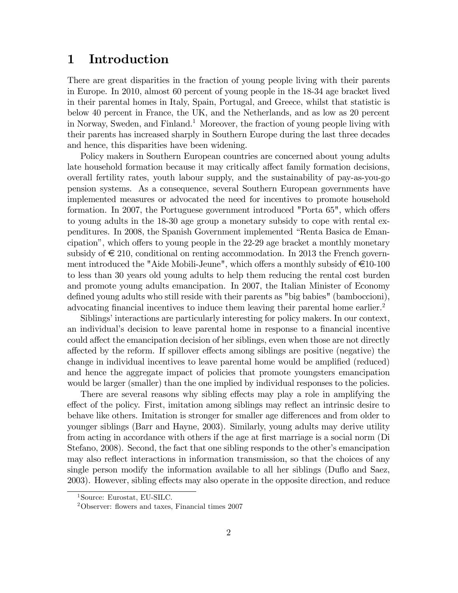### 1 Introduction

There are great disparities in the fraction of young people living with their parents in Europe. In 2010, almost 60 percent of young people in the 18-34 age bracket lived in their parental homes in Italy, Spain, Portugal, and Greece, whilst that statistic is below 40 percent in France, the UK, and the Netherlands, and as low as 20 percent in Norway, Sweden, and Finland.<sup>1</sup> Moreover, the fraction of young people living with their parents has increased sharply in Southern Europe during the last three decades and hence, this disparities have been widening.

Policy makers in Southern European countries are concerned about young adults late household formation because it may critically affect family formation decisions, overall fertility rates, youth labour supply, and the sustainability of pay-as-you-go pension systems. As a consequence, several Southern European governments have implemented measures or advocated the need for incentives to promote household formation. In 2007, the Portuguese government introduced "Porta  $65$ ", which offers to young adults in the 18-30 age group a monetary subsidy to cope with rental expenditures. In 2008, the Spanish Government implemented "Renta Basica de Emancipation", which offers to young people in the  $22-29$  age bracket a monthly monetary subsidy of  $\epsilon \leq 210$ , conditional on renting accommodation. In 2013 the French government introduced the "Aide Mobili-Jeune", which offers a monthly subsidy of  $\epsilon$ 10-100 to less than 30 years old young adults to help them reducing the rental cost burden and promote young adults emancipation. In 2007, the Italian Minister of Economy defined young adults who still reside with their parents as "big babies" (bamboccioni), advocating financial incentives to induce them leaving their parental home earlier.<sup>2</sup>

Siblings' interactions are particularly interesting for policy makers. In our context, an individual's decision to leave parental home in response to a financial incentive could affect the emancipation decision of her siblings, even when those are not directly affected by the reform. If spillover effects among siblings are positive (negative) the change in individual incentives to leave parental home would be amplified (reduced) and hence the aggregate impact of policies that promote youngsters emancipation would be larger (smaller) than the one implied by individual responses to the policies.

There are several reasons why sibling effects may play a role in amplifying the effect of the policy. First, imitation among siblings may reflect an intrinsic desire to behave like others. Imitation is stronger for smaller age differences and from older to younger siblings (Barr and Hayne, 2003). Similarly, young adults may derive utility from acting in accordance with others if the age at first marriage is a social norm (Di Stefano, 2008). Second, the fact that one sibling responds to the other's emancipation may also reflect interactions in information transmission, so that the choices of any single person modify the information available to all her siblings (Duflo and Saez, 2003). However, sibling effects may also operate in the opposite direction, and reduce

<sup>1</sup>Source: Eurostat, EU-SILC.

 $2$ Observer: flowers and taxes, Financial times 2007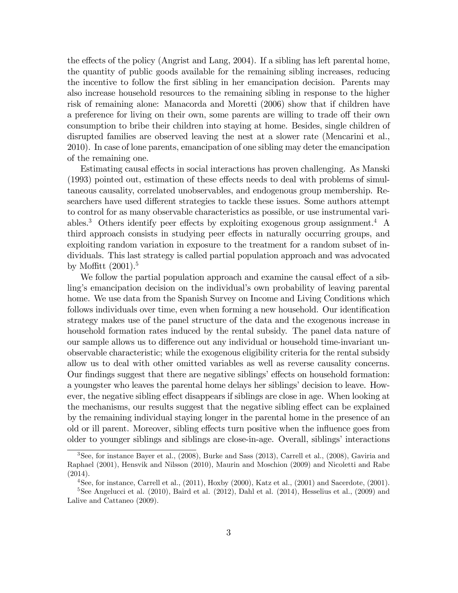the effects of the policy (Angrist and Lang, 2004). If a sibling has left parental home, the quantity of public goods available for the remaining sibling increases, reducing the incentive to follow the first sibling in her emancipation decision. Parents may also increase household resources to the remaining sibling in response to the higher risk of remaining alone: Manacorda and Moretti (2006) show that if children have a preference for living on their own, some parents are willing to trade off their own consumption to bribe their children into staying at home. Besides, single children of disrupted families are observed leaving the nest at a slower rate (Mencarini et al., 2010). In case of lone parents, emancipation of one sibling may deter the emancipation of the remaining one.

Estimating causal effects in social interactions has proven challenging. As Manski  $(1993)$  pointed out, estimation of these effects needs to deal with problems of simultaneous causality, correlated unobservables, and endogenous group membership. Researchers have used different strategies to tackle these issues. Some authors attempt to control for as many observable characteristics as possible, or use instrumental variables.<sup>3</sup> Others identify peer effects by exploiting exogenous group assignment.<sup>4</sup> A third approach consists in studying peer effects in naturally occurring groups, and exploiting random variation in exposure to the treatment for a random subset of individuals. This last strategy is called partial population approach and was advocated by Moffitt  $(2001).5$ 

We follow the partial population approach and examine the causal effect of a sibling's emancipation decision on the individual's own probability of leaving parental home. We use data from the Spanish Survey on Income and Living Conditions which follows individuals over time, even when forming a new household. Our identification strategy makes use of the panel structure of the data and the exogenous increase in household formation rates induced by the rental subsidy. The panel data nature of our sample allows us to difference out any individual or household time-invariant unobservable characteristic; while the exogenous eligibility criteria for the rental subsidy allow us to deal with other omitted variables as well as reverse causality concerns. Our findings suggest that there are negative siblings' effects on household formation: a youngster who leaves the parental home delays her siblings' decision to leave. However, the negative sibling effect disappears if siblings are close in age. When looking at the mechanisms, our results suggest that the negative sibling effect can be explained by the remaining individual staying longer in the parental home in the presence of an old or ill parent. Moreover, sibling effects turn positive when the influence goes from older to younger siblings and siblings are close-in-age. Overall, siblings' interactions

<sup>3</sup>See, for instance Bayer et al., (2008), Burke and Sass (2013), Carrell et al., (2008), Gaviria and Raphael (2001), Hensvik and Nilsson (2010), Maurin and Moschion (2009) and Nicoletti and Rabe (2014).

 $^{4}$ See, for instance, Carrell et al.,  $(2011)$ , Hoxby  $(2000)$ , Katz et al.,  $(2001)$  and Sacerdote,  $(2001)$ . <sup>5</sup>See Angelucci et al. (2010), Baird et al. (2012), Dahl et al. (2014), Hesselius et al., (2009) and Lalive and Cattaneo (2009).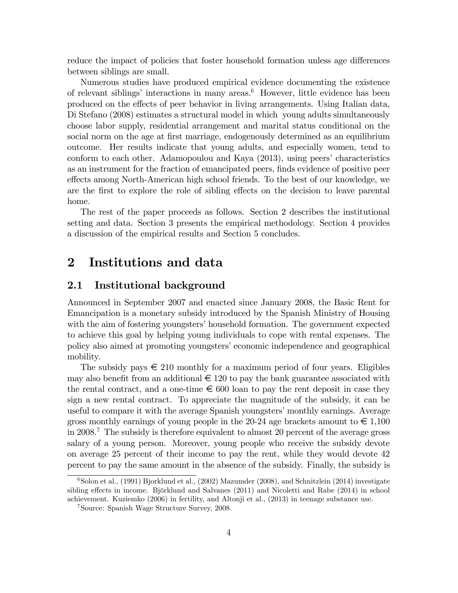reduce the impact of policies that foster household formation unless age differences between siblings are small.

Numerous studies have produced empirical evidence documenting the existence of relevant siblings' interactions in many areas.<sup>6</sup> However, little evidence has been produced on the effects of peer behavior in living arrangements. Using Italian data, Di Stefano (2008) estimates a structural model in which young adults simultaneously choose labor supply, residential arrangement and marital status conditional on the social norm on the age at first marriage, endogenously determined as an equilibrium outcome. Her results indicate that young adults, and especially women, tend to conform to each other. Adamopoulou and Kaya (2013), using peers' characteristics as an instrument for the fraction of emancipated peers, finds evidence of positive peer effects among North-American high school friends. To the best of our knowledge, we are the first to explore the role of sibling effects on the decision to leave parental home.

The rest of the paper proceeds as follows. Section 2 describes the institutional setting and data. Section 3 presents the empirical methodology. Section 4 provides a discussion of the empirical results and Section 5 concludes.

### 2 Institutions and data

#### 2.1 Institutional background

Announced in September 2007 and enacted since January 2008, the Basic Rent for Emancipation is a monetary subsidy introduced by the Spanish Ministry of Housing with the aim of fostering youngsters' household formation. The government expected to achieve this goal by helping young individuals to cope with rental expenses. The policy also aimed at promoting youngsters' economic independence and geographical mobility.

The subsidy pays  $\epsilon$  210 monthly for a maximum period of four years. Eligibles may also benefit from an additional  $\epsilon$  120 to pay the bank guarantee associated with the rental contract, and a one-time  $\epsilon$  600 loan to pay the rent deposit in case they sign a new rental contract. To appreciate the magnitude of the subsidy, it can be useful to compare it with the average Spanish youngsters' monthly earnings. Average gross monthly earnings of young people in the 20-24 age brackets amount to  $\epsilon \in 1,100$ in 2008.<sup>7</sup> The subsidy is therefore equivalent to almost 20 percent of the average gross salary of a young person. Moreover, young people who receive the subsidy devote on average 25 percent of their income to pay the rent, while they would devote 42 percent to pay the same amount in the absence of the subsidy. Finally, the subsidy is

 $6$ Solon et al., (1991) Bjorklund et al., (2002) Mazumder (2008), and Schnitzlein (2014) investigate sibling effects in income. Björklund and Salvanes (2011) and Nicoletti and Rabe (2014) in school achievement. Kuziemko (2006) in fertility, and Altonji et al., (2013) in teenage substance use.

<sup>7</sup>Source: Spanish Wage Structure Survey, 2008.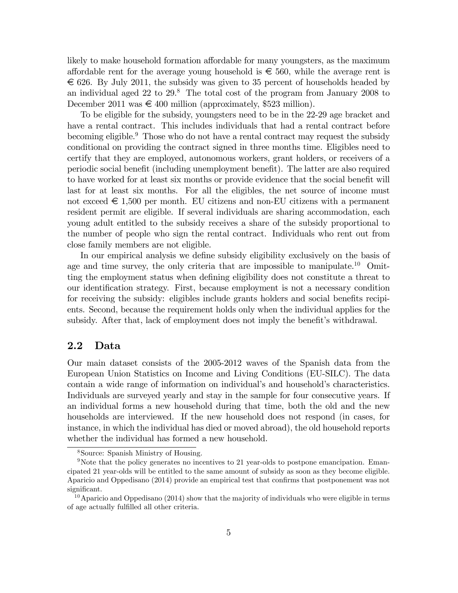likely to make household formation affordable for many youngsters, as the maximum affordable rent for the average young household is  $\epsilon \leq 560$ , while the average rent is  $\epsilon$  626. By July 2011, the subsidy was given to 35 percent of households headed by an individual aged 22 to 29.<sup>8</sup> The total cost of the program from January 2008 to December 2011 was  $\in$  400 million (approximately, \$523 million).

To be eligible for the subsidy, youngsters need to be in the 22-29 age bracket and have a rental contract. This includes individuals that had a rental contract before becoming eligible.<sup>9</sup> Those who do not have a rental contract may request the subsidy conditional on providing the contract signed in three months time. Eligibles need to certify that they are employed, autonomous workers, grant holders, or receivers of a periodic social benefit (including unemployment benefit). The latter are also required to have worked for at least six months or provide evidence that the social benefit will last for at least six months. For all the eligibles, the net source of income must not exceed  $\epsilon$  1,500 per month. EU citizens and non-EU citizens with a permanent resident permit are eligible. If several individuals are sharing accommodation, each young adult entitled to the subsidy receives a share of the subsidy proportional to the number of people who sign the rental contract. Individuals who rent out from close family members are not eligible.

In our empirical analysis we define subsidy eligibility exclusively on the basis of age and time survey, the only criteria that are impossible to manipulate.<sup>10</sup> Omitting the employment status when defining eligibility does not constitute a threat to our identification strategy. First, because employment is not a necessary condition for receiving the subsidy: eligibles include grants holders and social benefits recipients. Second, because the requirement holds only when the individual applies for the subsidy. After that, lack of employment does not imply the benefit's withdrawal.

#### 2.2 Data

Our main dataset consists of the 2005-2012 waves of the Spanish data from the European Union Statistics on Income and Living Conditions (EU-SILC). The data contain a wide range of information on individual's and household's characteristics. Individuals are surveyed yearly and stay in the sample for four consecutive years. If an individual forms a new household during that time, both the old and the new households are interviewed. If the new household does not respond (in cases, for instance, in which the individual has died or moved abroad), the old household reports whether the individual has formed a new household.

<sup>8</sup>Source: Spanish Ministry of Housing.

<sup>&</sup>lt;sup>9</sup>Note that the policy generates no incentives to 21 year-olds to postpone emancipation. Emancipated 21 year-olds will be entitled to the same amount of subsidy as soon as they become eligible. Aparicio and Oppedisano (2014) provide an empirical test that confirms that postponement was not significant.

<sup>&</sup>lt;sup>10</sup>Aparicio and Oppedisano (2014) show that the majority of individuals who were eligible in terms of age actually fulfilled all other criteria.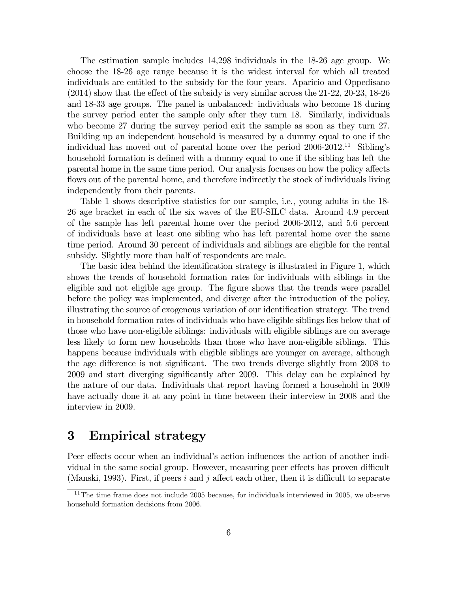The estimation sample includes 14,298 individuals in the 18-26 age group. We choose the 18-26 age range because it is the widest interval for which all treated individuals are entitled to the subsidy for the four years. Aparicio and Oppedisano  $(2014)$  show that the effect of the subsidy is very similar across the 21-22, 20-23, 18-26 and 18-33 age groups. The panel is unbalanced: individuals who become 18 during the survey period enter the sample only after they turn 18. Similarly, individuals who become 27 during the survey period exit the sample as soon as they turn 27. Building up an independent household is measured by a dummy equal to one if the individual has moved out of parental home over the period  $2006-2012$ .<sup>11</sup> Sibling's household formation is defined with a dummy equal to one if the sibling has left the parental home in the same time period. Our analysis focuses on how the policy affects flows out of the parental home, and therefore indirectly the stock of individuals living independently from their parents.

Table 1 shows descriptive statistics for our sample, i.e., young adults in the 18- 26 age bracket in each of the six waves of the EU-SILC data. Around 4.9 percent of the sample has left parental home over the period 2006-2012, and 5.6 percent of individuals have at least one sibling who has left parental home over the same time period. Around 30 percent of individuals and siblings are eligible for the rental subsidy. Slightly more than half of respondents are male.

The basic idea behind the identification strategy is illustrated in Figure 1, which shows the trends of household formation rates for individuals with siblings in the eligible and not eligible age group. The figure shows that the trends were parallel before the policy was implemented, and diverge after the introduction of the policy, illustrating the source of exogenous variation of our identification strategy. The trend in household formation rates of individuals who have eligible siblings lies below that of those who have non-eligible siblings: individuals with eligible siblings are on average less likely to form new households than those who have non-eligible siblings. This happens because individuals with eligible siblings are younger on average, although the age difference is not significant. The two trends diverge slightly from 2008 to 2009 and start diverging significantly after 2009. This delay can be explained by the nature of our data. Individuals that report having formed a household in 2009 have actually done it at any point in time between their interview in 2008 and the interview in 2009.

### 3 Empirical strategy

Peer effects occur when an individual's action influences the action of another individual in the same social group. However, measuring peer effects has proven difficult (Manski, 1993). First, if peers i and j affect each other, then it is difficult to separate

 $11$ <sup>11</sup>The time frame does not include 2005 because, for individuals interviewed in 2005, we observe household formation decisions from 2006.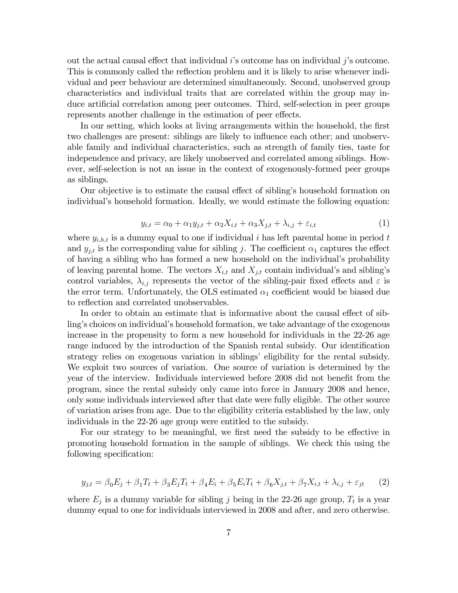out the actual causal effect that individual  $i$ 's outcome has on individual  $j$ 's outcome. This is commonly called the reflection problem and it is likely to arise whenever individual and peer behaviour are determined simultaneously. Second, unobserved group characteristics and individual traits that are correlated within the group may induce artificial correlation among peer outcomes. Third, self-selection in peer groups represents another challenge in the estimation of peer effects.

In our setting, which looks at living arrangements within the household, the first two challenges are present: siblings are likely to influence each other; and unobservable family and individual characteristics, such as strength of family ties, taste for independence and privacy, are likely unobserved and correlated among siblings. However, self-selection is not an issue in the context of exogenously-formed peer groups as siblings.

Our objective is to estimate the causal effect of sibling's household formation on individual's household formation. Ideally, we would estimate the following equation:

$$
y_{i,t} = \alpha_0 + \alpha_1 y_{j,t} + \alpha_2 X_{i,t} + \alpha_3 X_{j,t} + \lambda_{i,j} + \varepsilon_{i,t}
$$
\n<sup>(1)</sup>

where  $y_{i,h,t}$  is a dummy equal to one if individual i has left parental home in period t and  $y_{j,t}$  is the corresponding value for sibling j. The coefficient  $\alpha_1$  captures the effect of having a sibling who has formed a new household on the individual's probability of leaving parental home. The vectors  $X_{i,t}$  and  $X_{j,t}$  contain individual's and sibling's control variables,  $\lambda_{i,j}$  represents the vector of the sibling-pair fixed effects and  $\varepsilon$  is the error term. Unfortunately, the OLS estimated  $\alpha_1$  coefficient would be biased due to reflection and correlated unobservables.

In order to obtain an estimate that is informative about the causal effect of sibling's choices on individual's household formation, we take advantage of the exogenous increase in the propensity to form a new household for individuals in the 22-26 age range induced by the introduction of the Spanish rental subsidy. Our identification strategy relies on exogenous variation in siblings' eligibility for the rental subsidy. We exploit two sources of variation. One source of variation is determined by the year of the interview. Individuals interviewed before 2008 did not benefit from the program, since the rental subsidy only came into force in January 2008 and hence, only some individuals interviewed after that date were fully eligible. The other source of variation arises from age. Due to the eligibility criteria established by the law, only individuals in the 22-26 age group were entitled to the subsidy.

For our strategy to be meaningful, we first need the subsidy to be effective in promoting household formation in the sample of siblings. We check this using the following specification:

$$
y_{j,t} = \beta_0 E_j + \beta_1 T_t + \beta_3 E_j T_t + \beta_4 E_i + \beta_5 E_i T_t + \beta_6 X_{j,t} + \beta_7 X_{i,t} + \lambda_{i,j} + \varepsilon_{jt} \tag{2}
$$

where  $E_j$  is a dummy variable for sibling j being in the 22-26 age group,  $T_t$  is a year dummy equal to one for individuals interviewed in 2008 and after, and zero otherwise.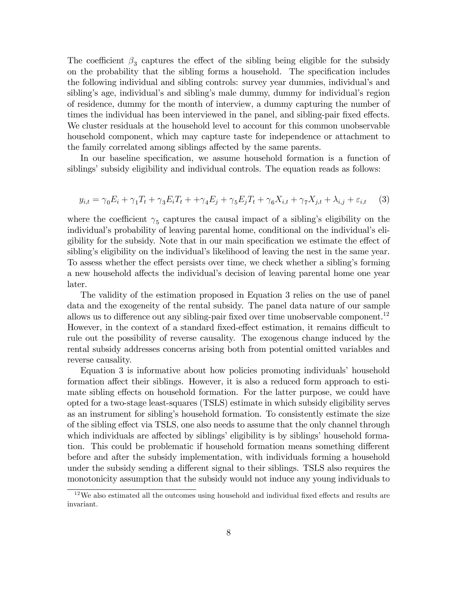The coefficient  $\beta_3$  captures the effect of the sibling being eligible for the subsidy on the probability that the sibling forms a household. The specification includes the following individual and sibling controls: survey year dummies, individualís and sibling's age, individual's and sibling's male dummy, dummy for individual's region of residence, dummy for the month of interview, a dummy capturing the number of times the individual has been interviewed in the panel, and sibling-pair fixed effects. We cluster residuals at the household level to account for this common unobservable household component, which may capture taste for independence or attachment to the family correlated among siblings affected by the same parents.

In our baseline specification, we assume household formation is a function of siblings' subsidy eligibility and individual controls. The equation reads as follows:

$$
y_{i,t} = \gamma_0 E_i + \gamma_1 T_t + \gamma_3 E_i T_t + \gamma_4 E_j + \gamma_5 E_j T_t + \gamma_6 X_{i,t} + \gamma_7 X_{j,t} + \lambda_{i,j} + \varepsilon_{i,t} \tag{3}
$$

where the coefficient  $\gamma_5$  captures the causal impact of a sibling's eligibility on the individual's probability of leaving parental home, conditional on the individual's eligibility for the subsidy. Note that in our main specification we estimate the effect of sibling's eligibility on the individual's likelihood of leaving the nest in the same year. To assess whether the effect persists over time, we check whether a sibling's forming a new household affects the individual's decision of leaving parental home one year later.

The validity of the estimation proposed in Equation 3 relies on the use of panel data and the exogeneity of the rental subsidy. The panel data nature of our sample allows us to difference out any sibling-pair fixed over time unobservable component.<sup>12</sup> However, in the context of a standard fixed-effect estimation, it remains difficult to rule out the possibility of reverse causality. The exogenous change induced by the rental subsidy addresses concerns arising both from potential omitted variables and reverse causality.

Equation 3 is informative about how policies promoting individuals household formation affect their siblings. However, it is also a reduced form approach to estimate sibling effects on household formation. For the latter purpose, we could have opted for a two-stage least-squares (TSLS) estimate in which subsidy eligibility serves as an instrument for siblingís household formation. To consistently estimate the size of the sibling effect via TSLS, one also needs to assume that the only channel through which individuals are affected by siblings' eligibility is by siblings' household formation. This could be problematic if household formation means something different before and after the subsidy implementation, with individuals forming a household under the subsidy sending a different signal to their siblings. TSLS also requires the monotonicity assumption that the subsidy would not induce any young individuals to

 $12\text{We also estimated all the outcomes using household and individual fixed effects and results are}$ invariant.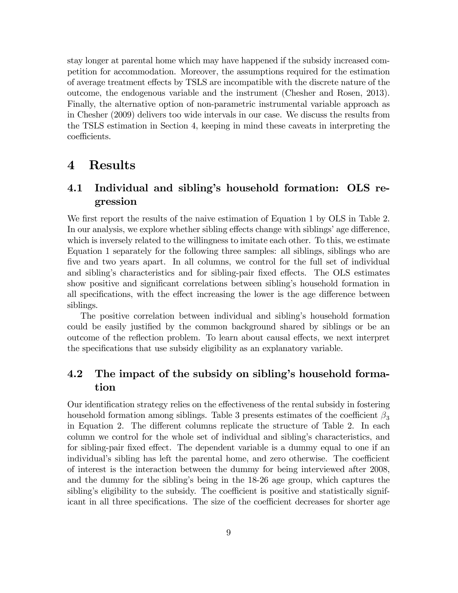stay longer at parental home which may have happened if the subsidy increased competition for accommodation. Moreover, the assumptions required for the estimation of average treatment effects by TSLS are incompatible with the discrete nature of the outcome, the endogenous variable and the instrument (Chesher and Rosen, 2013). Finally, the alternative option of non-parametric instrumental variable approach as in Chesher (2009) delivers too wide intervals in our case. We discuss the results from the TSLS estimation in Section 4, keeping in mind these caveats in interpreting the coefficients.

### 4 Results

### 4.1 Individual and sibling's household formation: OLS regression

We first report the results of the naive estimation of Equation 1 by OLS in Table 2. In our analysis, we explore whether sibling effects change with siblings' age difference, which is inversely related to the willingness to imitate each other. To this, we estimate Equation 1 separately for the following three samples: all siblings, siblings who are five and two years apart. In all columns, we control for the full set of individual and sibling's characteristics and for sibling-pair fixed effects. The OLS estimates show positive and significant correlations between sibling's household formation in all specifications, with the effect increasing the lower is the age difference between siblings.

The positive correlation between individual and siblingís household formation could be easily justified by the common background shared by siblings or be an outcome of the reflection problem. To learn about causal effects, we next interpret the specifications that use subsidy eligibility as an explanatory variable.

### 4.2 The impact of the subsidy on sibling's household formation

Our identification strategy relies on the effectiveness of the rental subsidy in fostering household formation among siblings. Table 3 presents estimates of the coefficient  $\beta_3$ in Equation 2. The different columns replicate the structure of Table 2. In each column we control for the whole set of individual and siblingís characteristics, and for sibling-pair fixed effect. The dependent variable is a dummy equal to one if an individual's sibling has left the parental home, and zero otherwise. The coefficient of interest is the interaction between the dummy for being interviewed after 2008, and the dummy for the sibling's being in the 18-26 age group, which captures the sibling's eligibility to the subsidy. The coefficient is positive and statistically significant in all three specifications. The size of the coefficient decreases for shorter age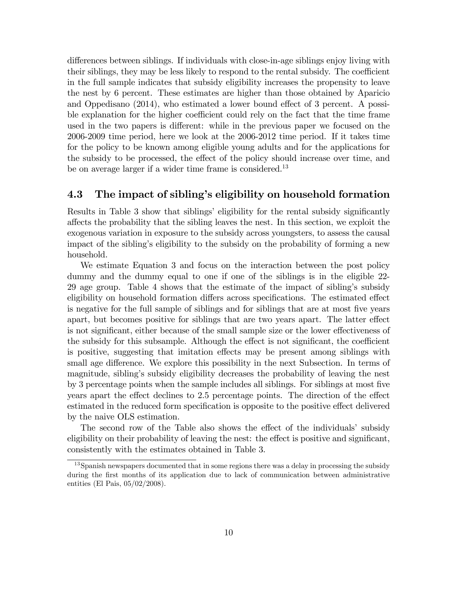differences between siblings. If individuals with close-in-age siblings enjoy living with their siblings, they may be less likely to respond to the rental subsidy. The coefficient in the full sample indicates that subsidy eligibility increases the propensity to leave the nest by 6 percent. These estimates are higher than those obtained by Aparicio and Oppedisano  $(2014)$ , who estimated a lower bound effect of 3 percent. A possible explanation for the higher coefficient could rely on the fact that the time frame used in the two papers is different: while in the previous paper we focused on the 2006-2009 time period, here we look at the 2006-2012 time period. If it takes time for the policy to be known among eligible young adults and for the applications for the subsidy to be processed, the effect of the policy should increase over time, and be on average larger if a wider time frame is considered.<sup>13</sup>

#### 4.3 The impact of sibling's eligibility on household formation

Results in Table 3 show that siblings' eligibility for the rental subsidy significantly a§ects the probability that the sibling leaves the nest. In this section, we exploit the exogenous variation in exposure to the subsidy across youngsters, to assess the causal impact of the siblingís eligibility to the subsidy on the probability of forming a new household.

We estimate Equation 3 and focus on the interaction between the post policy dummy and the dummy equal to one if one of the siblings is in the eligible 22- 29 age group. Table 4 shows that the estimate of the impact of siblingís subsidy eligibility on household formation differs across specifications. The estimated effect is negative for the full sample of siblings and for siblings that are at most Öve years apart, but becomes positive for siblings that are two years apart. The latter effect is not significant, either because of the small sample size or the lower effectiveness of the subsidy for this subsample. Although the effect is not significant, the coefficient is positive, suggesting that imitation effects may be present among siblings with small age difference. We explore this possibility in the next Subsection. In terms of magnitude, siblingís subsidy eligibility decreases the probability of leaving the nest by 3 percentage points when the sample includes all siblings. For siblings at most Öve years apart the effect declines to 2.5 percentage points. The direction of the effect estimated in the reduced form specification is opposite to the positive effect delivered by the naive OLS estimation.

The second row of the Table also shows the effect of the individuals' subsidy eligibility on their probability of leaving the nest: the effect is positive and significant, consistently with the estimates obtained in Table 3.

<sup>&</sup>lt;sup>13</sup>Spanish newspapers documented that in some regions there was a delay in processing the subsidy during the first months of its application due to lack of communication between administrative entities (El Pais, 05/02/2008).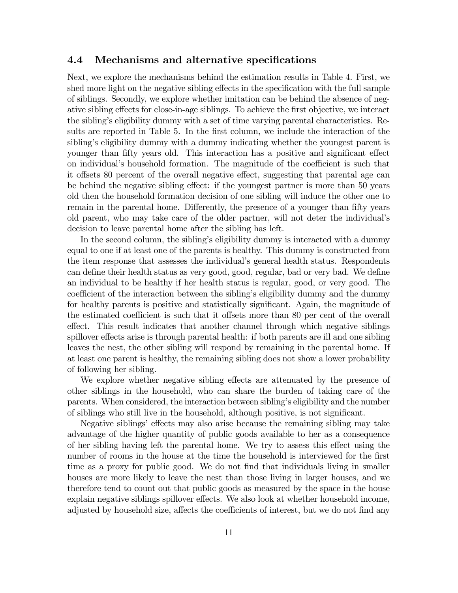#### 4.4 Mechanisms and alternative specifications

Next, we explore the mechanisms behind the estimation results in Table 4. First, we shed more light on the negative sibling effects in the specification with the full sample of siblings. Secondly, we explore whether imitation can be behind the absence of negative sibling effects for close-in-age siblings. To achieve the first objective, we interact the siblingís eligibility dummy with a set of time varying parental characteristics. Results are reported in Table 5. In the first column, we include the interaction of the sibling's eligibility dummy with a dummy indicating whether the youngest parent is younger than fifty years old. This interaction has a positive and significant effect on individual's household formation. The magnitude of the coefficient is such that it offsets 80 percent of the overall negative effect, suggesting that parental age can be behind the negative sibling effect: if the youngest partner is more than 50 years old then the household formation decision of one sibling will induce the other one to remain in the parental home. Differently, the presence of a younger than fifty years old parent, who may take care of the older partner, will not deter the individualís decision to leave parental home after the sibling has left.

In the second column, the sibling's eligibility dummy is interacted with a dummy equal to one if at least one of the parents is healthy. This dummy is constructed from the item response that assesses the individual's general health status. Respondents can define their health status as very good, good, regular, bad or very bad. We define an individual to be healthy if her health status is regular, good, or very good. The coefficient of the interaction between the sibling's eligibility dummy and the dummy for healthy parents is positive and statistically significant. Again, the magnitude of the estimated coefficient is such that it offsets more than 80 per cent of the overall effect. This result indicates that another channel through which negative siblings spillover effects arise is through parental health: if both parents are ill and one sibling leaves the nest, the other sibling will respond by remaining in the parental home. If at least one parent is healthy, the remaining sibling does not show a lower probability of following her sibling.

We explore whether negative sibling effects are attenuated by the presence of other siblings in the household, who can share the burden of taking care of the parents. When considered, the interaction between siblingís eligibility and the number of siblings who still live in the household, although positive, is not significant.

Negative siblings' effects may also arise because the remaining sibling may take advantage of the higher quantity of public goods available to her as a consequence of her sibling having left the parental home. We try to assess this effect using the number of rooms in the house at the time the household is interviewed for the first time as a proxy for public good. We do not find that individuals living in smaller houses are more likely to leave the nest than those living in larger houses, and we therefore tend to count out that public goods as measured by the space in the house explain negative siblings spillover effects. We also look at whether household income, adjusted by household size, affects the coefficients of interest, but we do not find any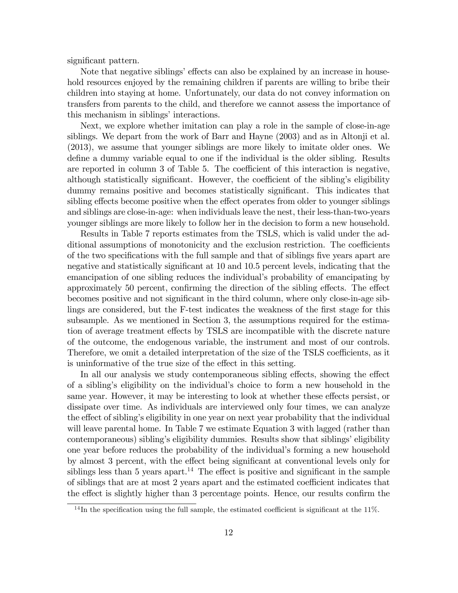significant pattern.

Note that negative siblings' effects can also be explained by an increase in household resources enjoyed by the remaining children if parents are willing to bribe their children into staying at home. Unfortunately, our data do not convey information on transfers from parents to the child, and therefore we cannot assess the importance of this mechanism in siblings' interactions.

Next, we explore whether imitation can play a role in the sample of close-in-age siblings. We depart from the work of Barr and Hayne (2003) and as in Altonji et al. (2013), we assume that younger siblings are more likely to imitate older ones. We define a dummy variable equal to one if the individual is the older sibling. Results are reported in column 3 of Table 5. The coefficient of this interaction is negative, although statistically significant. However, the coefficient of the sibling's eligibility dummy remains positive and becomes statistically significant. This indicates that sibling effects become positive when the effect operates from older to younger siblings and siblings are close-in-age: when individuals leave the nest, their less-than-two-years younger siblings are more likely to follow her in the decision to form a new household.

Results in Table 7 reports estimates from the TSLS, which is valid under the additional assumptions of monotonicity and the exclusion restriction. The coefficients of the two specifications with the full sample and that of siblings five years apart are negative and statistically significant at 10 and 10.5 percent levels, indicating that the emancipation of one sibling reduces the individual's probability of emancipating by approximately 50 percent, confirming the direction of the sibling effects. The effect becomes positive and not significant in the third column, where only close-in-age siblings are considered, but the F-test indicates the weakness of the first stage for this subsample. As we mentioned in Section 3, the assumptions required for the estimation of average treatment effects by TSLS are incompatible with the discrete nature of the outcome, the endogenous variable, the instrument and most of our controls. Therefore, we omit a detailed interpretation of the size of the TSLS coefficients, as it is uninformative of the true size of the effect in this setting.

In all our analysis we study contemporaneous sibling effects, showing the effect of a siblingís eligibility on the individualís choice to form a new household in the same year. However, it may be interesting to look at whether these effects persist, or dissipate over time. As individuals are interviewed only four times, we can analyze the effect of sibling's eligibility in one year on next year probability that the individual will leave parental home. In Table 7 we estimate Equation 3 with lagged (rather than contemporaneous) sibling's eligibility dummies. Results show that siblings' eligibility one year before reduces the probability of the individual's forming a new household by almost 3 percent, with the effect being significant at conventional levels only for siblings less than 5 years apart.<sup>14</sup> The effect is positive and significant in the sample of siblings that are at most 2 years apart and the estimated coefficient indicates that the effect is slightly higher than 3 percentage points. Hence, our results confirm the

 $14$ In the specification using the full sample, the estimated coefficient is significant at the 11%.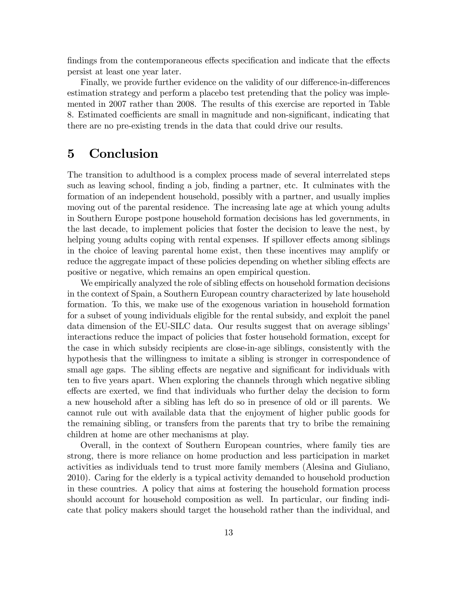findings from the contemporaneous effects specification and indicate that the effects persist at least one year later.

Finally, we provide further evidence on the validity of our difference-in-differences estimation strategy and perform a placebo test pretending that the policy was implemented in 2007 rather than 2008. The results of this exercise are reported in Table 8. Estimated coefficients are small in magnitude and non-significant, indicating that there are no pre-existing trends in the data that could drive our results.

### 5 Conclusion

The transition to adulthood is a complex process made of several interrelated steps such as leaving school, finding a job, finding a partner, etc. It culminates with the formation of an independent household, possibly with a partner, and usually implies moving out of the parental residence. The increasing late age at which young adults in Southern Europe postpone household formation decisions has led governments, in the last decade, to implement policies that foster the decision to leave the nest, by helping young adults coping with rental expenses. If spillover effects among siblings in the choice of leaving parental home exist, then these incentives may amplify or reduce the aggregate impact of these policies depending on whether sibling effects are positive or negative, which remains an open empirical question.

We empirically analyzed the role of sibling effects on household formation decisions in the context of Spain, a Southern European country characterized by late household formation. To this, we make use of the exogenous variation in household formation for a subset of young individuals eligible for the rental subsidy, and exploit the panel data dimension of the EU-SILC data. Our results suggest that on average siblings' interactions reduce the impact of policies that foster household formation, except for the case in which subsidy recipients are close-in-age siblings, consistently with the hypothesis that the willingness to imitate a sibling is stronger in correspondence of small age gaps. The sibling effects are negative and significant for individuals with ten to five years apart. When exploring the channels through which negative sibling effects are exerted, we find that individuals who further delay the decision to form a new household after a sibling has left do so in presence of old or ill parents. We cannot rule out with available data that the enjoyment of higher public goods for the remaining sibling, or transfers from the parents that try to bribe the remaining children at home are other mechanisms at play.

Overall, in the context of Southern European countries, where family ties are strong, there is more reliance on home production and less participation in market activities as individuals tend to trust more family members (Alesina and Giuliano, 2010). Caring for the elderly is a typical activity demanded to household production in these countries. A policy that aims at fostering the household formation process should account for household composition as well. In particular, our finding indicate that policy makers should target the household rather than the individual, and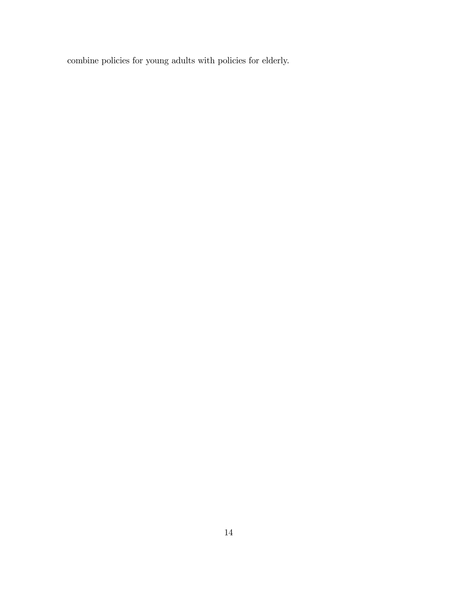combine policies for young adults with policies for elderly.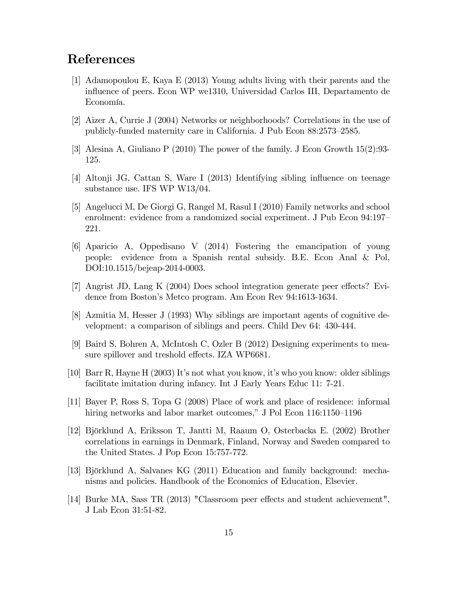### References

- [1] Adamopoulou E, Kaya E (2013) Young adults living with their parents and the ináuence of peers. Econ WP we1310, Universidad Carlos III, Departamento de Economía.
- [2] Aizer A, Currie J (2004) Networks or neighborhoods? Correlations in the use of publicly-funded maternity care in California. J Pub Econ 88:2573-2585.
- [3] Alesina A, Giuliano P (2010) The power of the family. J Econ Growth 15(2):93- 125.
- [4] Altonji JG, Cattan S, Ware I (2013) Identifying sibling ináuence on teenage substance use. IFS WP W13/04.
- [5] Angelucci M, De Giorgi G, Rangel M, Rasul I (2010) Family networks and school enrolment: evidence from a randomized social experiment. J Pub Econ 94:197 221.
- [6] Aparicio A, Oppedisano V (2014) Fostering the emancipation of young people: evidence from a Spanish rental subsidy. B.E. Econ Anal & Pol, DOI:10.1515/bejeap-2014-0003.
- [7] Angrist JD, Lang K (2004) Does school integration generate peer effects? Evidence from Boston's Metco program. Am Econ Rev 94:1613-1634.
- [8] Azmitia M, Hesser J (1993) Why siblings are important agents of cognitive development: a comparison of siblings and peers. Child Dev 64: 430-444.
- [9] Baird S, Bohren A, McIntosh C, Ozler B (2012) Designing experiments to measure spillover and treshold effects. IZA WP6681.
- [10] Barr R, Hayne H (2003) Itís not what you know, itís who you know: older siblings facilitate imitation during infancy. Int J Early Years Educ 11: 7-21.
- [11] Bayer P, Ross S, Topa G (2008) Place of work and place of residence: informal hiring networks and labor market outcomes," J Pol Econ  $116:1150-1196$
- [12] Björklund A, Eriksson T, Jantti M, Raaum O, Osterbacka E. (2002) Brother correlations in earnings in Denmark, Finland, Norway and Sweden compared to the United States. J Pop Econ 15:757-772.
- [13] Björklund A, Salvanes KG (2011) Education and family background: mechanisms and policies. Handbook of the Economics of Education, Elsevier.
- [14] Burke MA, Sass TR (2013) "Classroom peer effects and student achievement", J Lab Econ 31:51-82.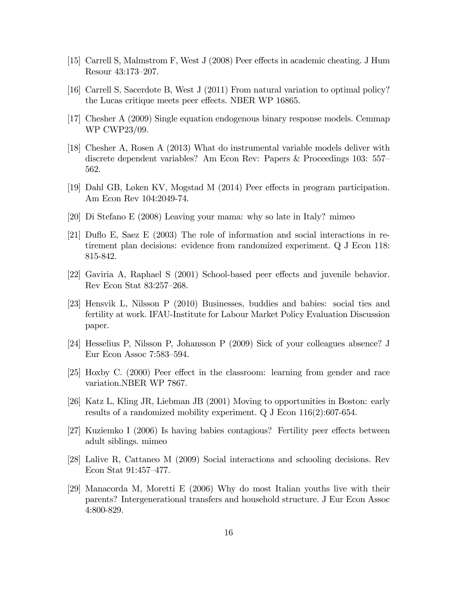- [15] Carrell S, Malmstrom F, West J (2008) Peer effects in academic cheating. J Hum Resour 43:173-207.
- [16] Carrell S, Sacerdote B, West J (2011) From natural variation to optimal policy? the Lucas critique meets peer effects. NBER WP 16865.
- [17] Chesher A (2009) Single equation endogenous binary response models. Cemmap WP CWP23/09.
- [18] Chesher A, Rosen A (2013) What do instrumental variable models deliver with discrete dependent variables? Am Econ Rev: Papers & Proceedings 103: 557 562.
- [19] Dahl GB, Løken KV, Mogstad M (2014) Peer effects in program participation. Am Econ Rev 104:2049-74.
- [20] Di Stefano E (2008) Leaving your mama: why so late in Italy? mimeo
- [21] Duflo E, Saez E (2003) The role of information and social interactions in retirement plan decisions: evidence from randomized experiment. Q J Econ 118: 815-842.
- $[22]$  Gaviria A, Raphael S  $(2001)$  School-based peer effects and juvenile behavior. Rev Econ Stat 83:257-268.
- [23] Hensvik L, Nilsson P (2010) Businesses, buddies and babies: social ties and fertility at work. IFAU-Institute for Labour Market Policy Evaluation Discussion paper.
- [24] Hesselius P, Nilsson P, Johansson P (2009) Sick of your colleagues absence? J Eur Econ Assoc  $7:583-594$ .
- $[25]$  Hoxby C.  $(2000)$  Peer effect in the classroom: learning from gender and race variation.NBER WP 7867.
- [26] Katz L, Kling JR, Liebman JB (2001) Moving to opportunities in Boston: early results of a randomized mobility experiment. Q J Econ 116(2):607-654.
- $[27]$  Kuziemko I (2006) Is having babies contagious? Fertility peer effects between adult siblings. mimeo
- [28] Lalive R, Cattaneo M (2009) Social interactions and schooling decisions. Rev Econ Stat  $91:457-477$ .
- [29] Manacorda M, Moretti E (2006) Why do most Italian youths live with their parents? Intergenerational transfers and household structure. J Eur Econ Assoc 4:800-829.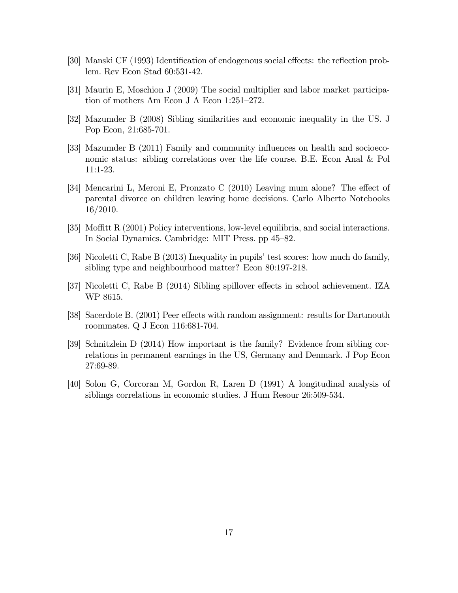- [30] Manski CF (1993) Identification of endogenous social effects: the reflection problem. Rev Econ Stad 60:531-42.
- [31] Maurin E, Moschion J (2009) The social multiplier and labor market participation of mothers Am Econ J A Econ  $1:251-272$ .
- [32] Mazumder B (2008) Sibling similarities and economic inequality in the US. J Pop Econ, 21:685-701.
- [33] Mazumder B (2011) Family and community influences on health and socioeconomic status: sibling correlations over the life course. B.E. Econ Anal & Pol 11:1-23.
- [34] Mencarini L, Meroni E, Pronzato C  $(2010)$  Leaving mum alone? The effect of parental divorce on children leaving home decisions. Carlo Alberto Notebooks 16/2010.
- [35] Moffitt R (2001) Policy interventions, low-level equilibria, and social interactions. In Social Dynamics. Cambridge: MIT Press. pp 45–82.
- [36] Nicoletti C, Rabe B (2013) Inequality in pupils' test scores: how much do family, sibling type and neighbourhood matter? Econ 80:197-218.
- [37] Nicoletti C, Rabe B (2014) Sibling spillover effects in school achievement. IZA WP 8615.
- [38] Sacerdote B. (2001) Peer effects with random assignment: results for Dartmouth roommates. Q J Econ 116:681-704.
- [39] Schnitzlein D (2014) How important is the family? Evidence from sibling correlations in permanent earnings in the US, Germany and Denmark. J Pop Econ 27:69-89.
- [40] Solon G, Corcoran M, Gordon R, Laren D (1991) A longitudinal analysis of siblings correlations in economic studies. J Hum Resour 26:509-534.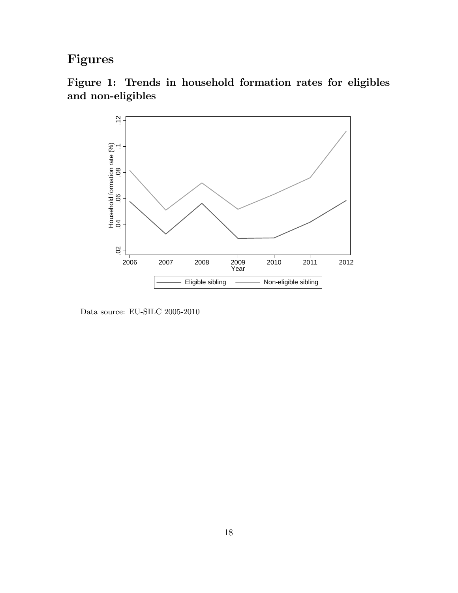# Figures





Data source: EU-SILC 2005-2010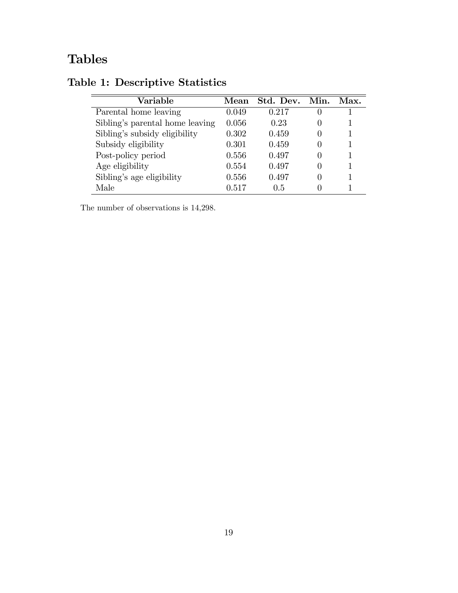# Tables

| Variable                        | Mean  | Std. Dev. Min. | Max. |
|---------------------------------|-------|----------------|------|
| Parental home leaving           | 0.049 | 0.217          |      |
| Sibling's parental home leaving | 0.056 | 0.23           |      |
| Sibling's subsidy eligibility   | 0.302 | 0.459          |      |
| Subsidy eligibility             | 0.301 | 0.459          |      |
| Post-policy period              | 0.556 | 0.497          |      |
| Age eligibility                 | 0.554 | 0.497          |      |
| Sibling's age eligibility       | 0.556 | 0.497          |      |
| Male                            | 0.517 | 0.5            |      |

# Table 1: Descriptive Statistics

The number of observations is 14,298.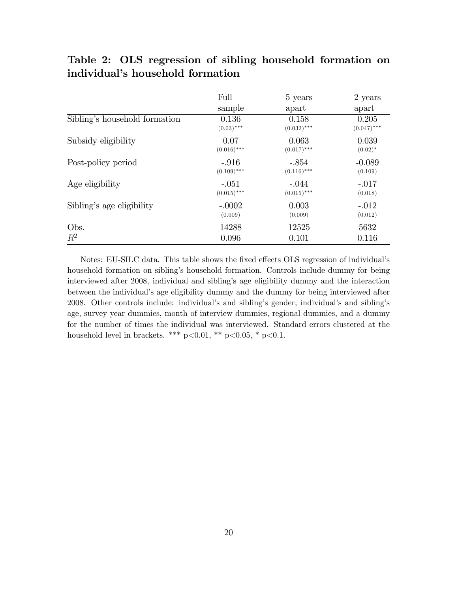### Table 2: OLS regression of sibling household formation on individual's household formation

|                               | Full          | 5 years       | 2 years       |
|-------------------------------|---------------|---------------|---------------|
|                               | sample        | apart         | apart         |
| Sibling's household formation | 0.136         | 0.158         | 0.205         |
|                               | $(0.03)$ ***  | $(0.032)$ *** | $(0.047)$ *** |
| Subsidy eligibility           | 0.07          | 0.063         | 0.039         |
|                               | $(0.016)$ *** | $(0.017)$ *** | $(0.02)^*$    |
| Post-policy period            | $-.916$       | $-.854$       | $-0.089$      |
|                               | $(0.109)$ *** | $(0.116)$ *** | (0.109)       |
| Age eligibility               | $-.051$       | $-.044$       | $-.017$       |
|                               | $(0.015)$ *** | $(0.015)$ *** | (0.018)       |
| Sibling's age eligibility     | $-.0002$      | 0.003         | $-.012$       |
|                               | (0.009)       | (0.009)       | (0.012)       |
| Obs.                          | 14288         | 12525         | 5632          |
| $R^2$                         | 0.096         | 0.101         | 0.116         |

Notes: EU-SILC data. This table shows the fixed effects OLS regression of individual's household formation on sibling's household formation. Controls include dummy for being interviewed after 2008, individual and siblingís age eligibility dummy and the interaction between the individual's age eligibility dummy and the dummy for being interviewed after 2008. Other controls include: individual's and sibling's gender, individual's and sibling's age, survey year dummies, month of interview dummies, regional dummies, and a dummy for the number of times the individual was interviewed. Standard errors clustered at the household level in brackets. \*\*\* p<0.01, \*\* p<0.05, \* p<0.1.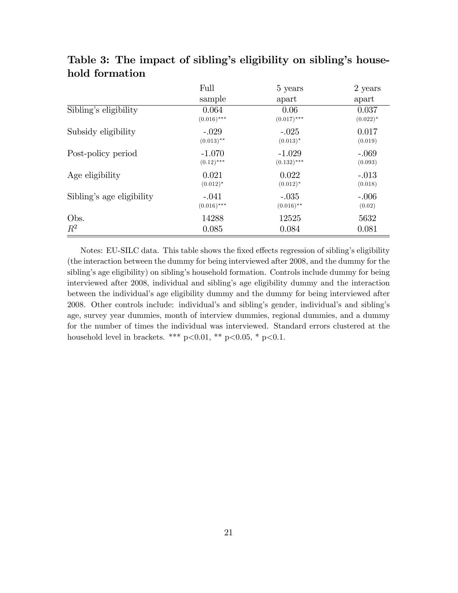|                           | Full          | 5 years       | 2 years     |
|---------------------------|---------------|---------------|-------------|
|                           | sample        | apart         | apart       |
| Sibling's eligibility     | 0.064         | 0.06          | 0.037       |
|                           | $(0.016)$ *** | $(0.017)$ *** | $(0.022)^*$ |
| Subsidy eligibility       | $-.029$       | $-.025$       | 0.017       |
|                           | $(0.013)$ **  | $(0.013)^*$   | (0.019)     |
| Post-policy period        | $-1.070$      | $-1.029$      | $-.069$     |
|                           | $(0.12)$ ***  | $(0.132)$ *** | (0.093)     |
| Age eligibility           | 0.021         | 0.022         | $-.013$     |
|                           | $(0.012)^*$   | $(0.012)^*$   | (0.018)     |
| Sibling's age eligibility | $-.041$       | $-.035$       | $-.006$     |
|                           | $(0.016)$ *** | $(0.016)$ **  | (0.02)      |
| Obs.                      | 14288         | 12525         | 5632        |
| $R^2$                     | 0.085         | 0.084         | 0.081       |

Table 3: The impact of sibling's eligibility on sibling's household formation

Notes: EU-SILC data. This table shows the fixed effects regression of sibling's eligibility (the interaction between the dummy for being interviewed after 2008, and the dummy for the sibling's age eligibility) on sibling's household formation. Controls include dummy for being interviewed after 2008, individual and siblingís age eligibility dummy and the interaction between the individual's age eligibility dummy and the dummy for being interviewed after 2008. Other controls include: individual's and sibling's gender, individual's and sibling's age, survey year dummies, month of interview dummies, regional dummies, and a dummy for the number of times the individual was interviewed. Standard errors clustered at the household level in brackets. \*\*\*  $p<0.01$ , \*\*  $p<0.05$ , \*  $p<0.1$ .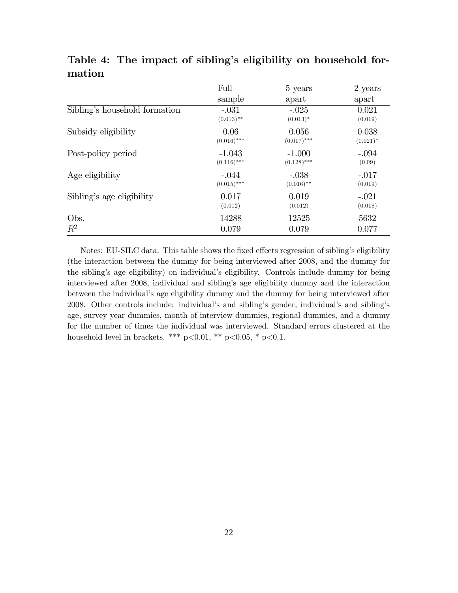|                               | Full          | 5 years       | 2 years     |
|-------------------------------|---------------|---------------|-------------|
|                               | sample        | apart         | apart       |
| Sibling's household formation | $-.031$       | $-.025$       | 0.021       |
|                               | $(0.013)$ **  | $(0.013)^*$   | (0.019)     |
| Subsidy eligibility           | 0.06          | 0.056         | 0.038       |
|                               | $(0.016)$ *** | $(0.017)$ *** | $(0.021)^*$ |
| Post-policy period            | $-1.043$      | $-1.000$      | $-.094$     |
|                               | $(0.116)$ *** | $(0.128)$ *** | (0.09)      |
| Age eligibility               | $-.044$       | $-.038$       | $-.017$     |
|                               | $(0.015)$ *** | $(0.016)$ **  | (0.019)     |
| Sibling's age eligibility     | 0.017         | 0.019         | $-.021$     |
|                               | (0.012)       | (0.012)       | (0.018)     |
| Obs.                          | 14288         | 12525         | 5632        |
| $R^2$                         | 0.079         | 0.079         | 0.077       |

### Table 4: The impact of sibling's eligibility on household formation

Notes: EU-SILC data. This table shows the fixed effects regression of sibling's eligibility (the interaction between the dummy for being interviewed after 2008, and the dummy for the siblingís age eligibility) on individualís eligibility. Controls include dummy for being interviewed after 2008, individual and siblingís age eligibility dummy and the interaction between the individual's age eligibility dummy and the dummy for being interviewed after 2008. Other controls include: individual's and sibling's gender, individual's and sibling's age, survey year dummies, month of interview dummies, regional dummies, and a dummy for the number of times the individual was interviewed. Standard errors clustered at the household level in brackets. \*\*\*  $p<0.01$ , \*\*  $p<0.05$ , \*  $p<0.1$ .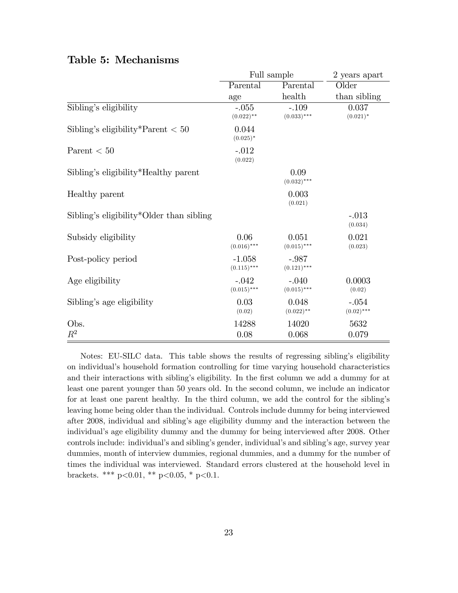|                                          | Full sample               |                          | 2 years apart           |  |
|------------------------------------------|---------------------------|--------------------------|-------------------------|--|
|                                          | Parental                  | Parental                 | Older                   |  |
|                                          | age                       | health                   | than sibling            |  |
| Sibling's eligibility                    | $-.055$<br>$(0.022)$ **   | $-.109$<br>$(0.033)$ *** | 0.037<br>$(0.021)^*$    |  |
| Sibling's eligibility*Parent $< 50$      | 0.044<br>$(0.025)^*$      |                          |                         |  |
| Parent $< 50$                            | $-.012$<br>(0.022)        |                          |                         |  |
| Sibling's eligibility*Healthy parent     |                           | 0.09<br>$(0.032)$ ***    |                         |  |
| Healthy parent                           |                           | 0.003<br>(0.021)         |                         |  |
| Sibling's eligibility*Older than sibling |                           |                          | $-.013$<br>(0.034)      |  |
| Subsidy eligibility                      | 0.06<br>$(0.016)$ ***     | 0.051<br>$(0.015)$ ***   | 0.021<br>(0.023)        |  |
| Post-policy period                       | $-1.058$<br>$(0.115)$ *** | $-.987$<br>$(0.121)$ *** |                         |  |
| Age eligibility                          | $-.042$<br>$(0.015)$ ***  | $-.040$<br>$(0.015)$ *** | 0.0003<br>(0.02)        |  |
| Sibling's age eligibility                | 0.03<br>(0.02)            | 0.048<br>$(0.022)$ **    | $-.054$<br>$(0.02)$ *** |  |
| Obs.                                     | 14288                     | 14020                    | 5632                    |  |
| $R^2$                                    | 0.08                      | 0.068                    | 0.079                   |  |

#### Table 5: Mechanisms

Notes: EU-SILC data. This table shows the results of regressing sibling's eligibility on individualís household formation controlling for time varying household characteristics and their interactions with sibling's eligibility. In the first column we add a dummy for at least one parent younger than 50 years old. In the second column, we include an indicator for at least one parent healthy. In the third column, we add the control for the sibling's leaving home being older than the individual. Controls include dummy for being interviewed after 2008, individual and siblingís age eligibility dummy and the interaction between the individual's age eligibility dummy and the dummy for being interviewed after 2008. Other controls include: individual's and sibling's gender, individual's and sibling's age, survey year dummies, month of interview dummies, regional dummies, and a dummy for the number of times the individual was interviewed. Standard errors clustered at the household level in brackets. \*\*\*  $p<0.01$ , \*\*  $p<0.05$ , \*  $p<0.1$ .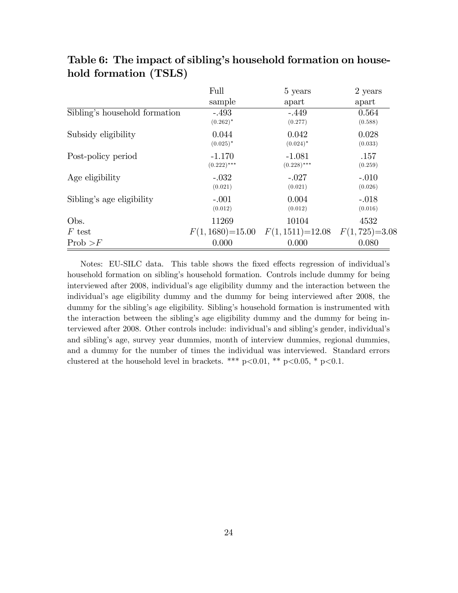|                               | Full                 | 5 years                             | 2 years |
|-------------------------------|----------------------|-------------------------------------|---------|
|                               | sample               | apart                               | apart   |
| Sibling's household formation | $-.493$              | $-.449$                             | 0.564   |
|                               | $(0.262)^*$          | (0.277)                             | (0.588) |
| Subsidy eligibility           | 0.044                | 0.042                               | 0.028   |
|                               | $(0.025)^*$          | $(0.024)^*$                         | (0.033) |
| Post-policy period            | $-1.170$             | $-1.081$                            | .157    |
|                               | $(0.222)$ ***        | $(0.228)$ ***                       | (0.259) |
| Age eligibility               | $-.032$              | $-.027$                             | $-.010$ |
|                               | (0.021)              | (0.021)                             | (0.026) |
| Sibling's age eligibility     | $-.001$              | 0.004                               | $-.018$ |
|                               | (0.012)              | (0.012)                             | (0.016) |
| Obs.                          | 11269                | 10104                               | 4532    |
| $F$ test                      | $F(1, 1680) = 15.00$ | $F(1, 1511)=12.08$ $F(1, 725)=3.08$ |         |
| Prob > F                      | 0.000                | 0.000                               | 0.080   |

### Table 6: The impact of sibling's household formation on household formation (TSLS)

Notes: EU-SILC data. This table shows the fixed effects regression of individual's household formation on sibling's household formation. Controls include dummy for being interviewed after 2008, individual's age eligibility dummy and the interaction between the individual's age eligibility dummy and the dummy for being interviewed after 2008, the dummy for the sibling's age eligibility. Sibling's household formation is instrumented with the interaction between the siblingís age eligibility dummy and the dummy for being interviewed after 2008. Other controls include: individual's and sibling's gender, individual's and siblingís age, survey year dummies, month of interview dummies, regional dummies, and a dummy for the number of times the individual was interviewed. Standard errors clustered at the household level in brackets. \*\*\*  $p<0.01$ , \*\*  $p<0.05$ , \*  $p<0.1$ .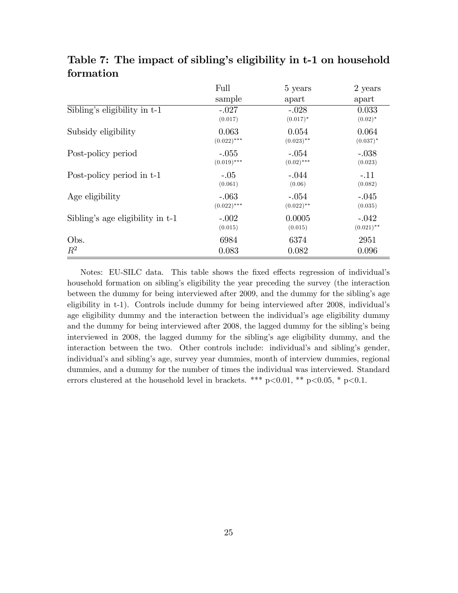|                                  | Full          | 5 years      | 2 years      |
|----------------------------------|---------------|--------------|--------------|
|                                  | sample        | apart        | apart        |
| Sibling's eligibility in t-1     | $-.027$       | $-.028$      | 0.033        |
|                                  | (0.017)       | $(0.017)^*$  | $(0.02)^*$   |
| Subsidy eligibility              | 0.063         | 0.054        | 0.064        |
|                                  | $(0.022)$ *** | $(0.023)$ ** | $(0.037)^*$  |
| Post-policy period               | $-.055$       | $-.054$      | $-.038$      |
|                                  | $(0.019)$ *** | $(0.02)$ *** | (0.023)      |
| Post-policy period in t-1        | $-.05$        | $-.044$      | $-.11$       |
|                                  | (0.061)       | (0.06)       | (0.082)      |
| Age eligibility                  | $-.063$       | $-.054$      | $-.045$      |
|                                  | $(0.022)$ *** | $(0.022)$ ** | (0.035)      |
| Sibling's age eligibility in t-1 | $-.002$       | 0.0005       | $-.042$      |
|                                  | (0.015)       | (0.015)      | $(0.021)$ ** |
| Obs.                             | 6984          | 6374         | 2951         |
| $R^2$                            | 0.083         | 0.082        | 0.096        |

Table 7: The impact of sibling's eligibility in t-1 on household formation

Notes: EU-SILC data. This table shows the fixed effects regression of individual's household formation on sibling's eligibility the year preceding the survey (the interaction between the dummy for being interviewed after 2009, and the dummy for the siblingís age eligibility in t-1). Controls include dummy for being interviewed after 2008, individualís age eligibility dummy and the interaction between the individual's age eligibility dummy and the dummy for being interviewed after 2008, the lagged dummy for the sibling's being interviewed in 2008, the lagged dummy for the sibling's age eligibility dummy, and the interaction between the two. Other controls include: individual's and sibling's gender, individual's and sibling's age, survey year dummies, month of interview dummies, regional dummies, and a dummy for the number of times the individual was interviewed. Standard errors clustered at the household level in brackets. \*\*\*  $p<0.01$ , \*\*  $p<0.05$ , \*  $p<0.1$ .